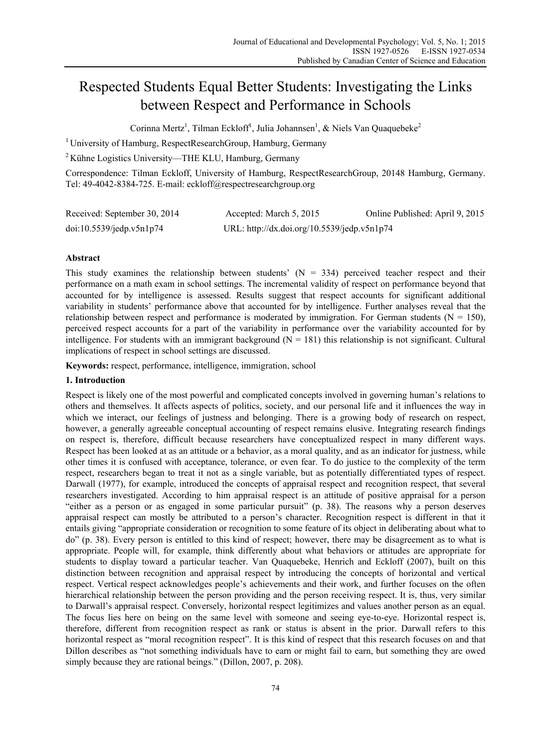# Respected Students Equal Better Students: Investigating the Links between Respect and Performance in Schools

Corinna Mertz<sup>1</sup>, Tilman Eckloff<sup>1</sup>, Julia Johannsen<sup>1</sup>, & Niels Van Quaquebeke<sup>2</sup>

<sup>1</sup> University of Hamburg, RespectResearchGroup, Hamburg, Germany

2 Kühne Logistics University—THE KLU, Hamburg, Germany

Correspondence: Tilman Eckloff, University of Hamburg, RespectResearchGroup, 20148 Hamburg, Germany. Tel: 49-4042-8384-725. E-mail: eckloff@respectresearchgroup.org

| Received: September 30, 2014 | Accepted: March 5, 2015                     | Online Published: April 9, 2015 |
|------------------------------|---------------------------------------------|---------------------------------|
| $doi:10.5539/j$ edp.v5n1p74  | URL: http://dx.doi.org/10.5539/jedp.v5n1p74 |                                 |

## **Abstract**

This study examines the relationship between students'  $(N = 334)$  perceived teacher respect and their performance on a math exam in school settings. The incremental validity of respect on performance beyond that accounted for by intelligence is assessed. Results suggest that respect accounts for significant additional variability in students' performance above that accounted for by intelligence. Further analyses reveal that the relationship between respect and performance is moderated by immigration. For German students ( $N = 150$ ), perceived respect accounts for a part of the variability in performance over the variability accounted for by intelligence. For students with an immigrant background ( $N = 181$ ) this relationship is not significant. Cultural implications of respect in school settings are discussed.

**Keywords:** respect, performance, intelligence, immigration, school

## **1. Introduction**

Respect is likely one of the most powerful and complicated concepts involved in governing human's relations to others and themselves. It affects aspects of politics, society, and our personal life and it influences the way in which we interact, our feelings of justness and belonging. There is a growing body of research on respect, however, a generally agreeable conceptual accounting of respect remains elusive. Integrating research findings on respect is, therefore, difficult because researchers have conceptualized respect in many different ways. Respect has been looked at as an attitude or a behavior, as a moral quality, and as an indicator for justness, while other times it is confused with acceptance, tolerance, or even fear. To do justice to the complexity of the term respect, researchers began to treat it not as a single variable, but as potentially differentiated types of respect. Darwall (1977), for example, introduced the concepts of appraisal respect and recognition respect, that several researchers investigated. According to him appraisal respect is an attitude of positive appraisal for a person "either as a person or as engaged in some particular pursuit" (p. 38). The reasons why a person deserves appraisal respect can mostly be attributed to a person's character. Recognition respect is different in that it entails giving "appropriate consideration or recognition to some feature of its object in deliberating about what to do" (p. 38). Every person is entitled to this kind of respect; however, there may be disagreement as to what is appropriate. People will, for example, think differently about what behaviors or attitudes are appropriate for students to display toward a particular teacher. Van Quaquebeke, Henrich and Eckloff (2007), built on this distinction between recognition and appraisal respect by introducing the concepts of horizontal and vertical respect. Vertical respect acknowledges people's achievements and their work, and further focuses on the often hierarchical relationship between the person providing and the person receiving respect. It is, thus, very similar to Darwall's appraisal respect. Conversely, horizontal respect legitimizes and values another person as an equal. The focus lies here on being on the same level with someone and seeing eye-to-eye. Horizontal respect is, therefore, different from recognition respect as rank or status is absent in the prior. Darwall refers to this horizontal respect as "moral recognition respect". It is this kind of respect that this research focuses on and that Dillon describes as "not something individuals have to earn or might fail to earn, but something they are owed simply because they are rational beings." (Dillon, 2007, p. 208).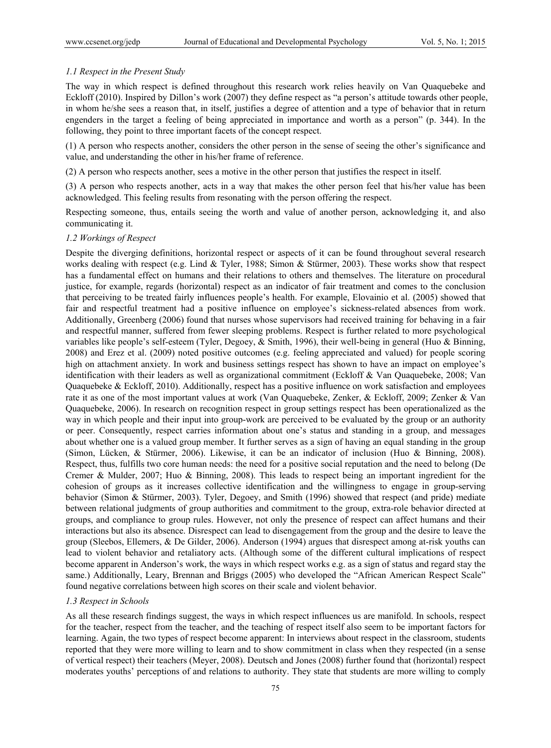#### *1.1 Respect in the Present Study*

The way in which respect is defined throughout this research work relies heavily on Van Quaquebeke and Eckloff (2010). Inspired by Dillon's work (2007) they define respect as "a person's attitude towards other people, in whom he/she sees a reason that, in itself, justifies a degree of attention and a type of behavior that in return engenders in the target a feeling of being appreciated in importance and worth as a person" (p. 344). In the following, they point to three important facets of the concept respect.

(1) A person who respects another, considers the other person in the sense of seeing the other's significance and value, and understanding the other in his/her frame of reference.

(2) A person who respects another, sees a motive in the other person that justifies the respect in itself.

(3) A person who respects another, acts in a way that makes the other person feel that his/her value has been acknowledged. This feeling results from resonating with the person offering the respect.

Respecting someone, thus, entails seeing the worth and value of another person, acknowledging it, and also communicating it.

#### *1.2 Workings of Respect*

Despite the diverging definitions, horizontal respect or aspects of it can be found throughout several research works dealing with respect (e.g. Lind & Tyler, 1988; Simon & Stürmer, 2003). These works show that respect has a fundamental effect on humans and their relations to others and themselves. The literature on procedural justice, for example, regards (horizontal) respect as an indicator of fair treatment and comes to the conclusion that perceiving to be treated fairly influences people's health. For example, Elovainio et al. (2005) showed that fair and respectful treatment had a positive influence on employee's sickness-related absences from work. Additionally, Greenberg (2006) found that nurses whose supervisors had received training for behaving in a fair and respectful manner, suffered from fewer sleeping problems. Respect is further related to more psychological variables like people's self-esteem (Tyler, Degoey, & Smith, 1996), their well-being in general (Huo & Binning, 2008) and Erez et al. (2009) noted positive outcomes (e.g. feeling appreciated and valued) for people scoring high on attachment anxiety. In work and business settings respect has shown to have an impact on employee's identification with their leaders as well as organizational commitment (Eckloff & Van Quaquebeke, 2008; Van Quaquebeke & Eckloff, 2010). Additionally, respect has a positive influence on work satisfaction and employees rate it as one of the most important values at work (Van Quaquebeke, Zenker, & Eckloff, 2009; Zenker & Van Quaquebeke, 2006). In research on recognition respect in group settings respect has been operationalized as the way in which people and their input into group-work are perceived to be evaluated by the group or an authority or peer. Consequently, respect carries information about one's status and standing in a group, and messages about whether one is a valued group member. It further serves as a sign of having an equal standing in the group (Simon, Lücken, & Stürmer, 2006). Likewise, it can be an indicator of inclusion (Huo & Binning, 2008). Respect, thus, fulfills two core human needs: the need for a positive social reputation and the need to belong (De Cremer & Mulder, 2007; Huo & Binning, 2008). This leads to respect being an important ingredient for the cohesion of groups as it increases collective identification and the willingness to engage in group-serving behavior (Simon & Stürmer, 2003). Tyler, Degoey, and Smith (1996) showed that respect (and pride) mediate between relational judgments of group authorities and commitment to the group, extra-role behavior directed at groups, and compliance to group rules. However, not only the presence of respect can affect humans and their interactions but also its absence. Disrespect can lead to disengagement from the group and the desire to leave the group (Sleebos, Ellemers, & De Gilder, 2006). Anderson (1994) argues that disrespect among at-risk youths can lead to violent behavior and retaliatory acts. (Although some of the different cultural implications of respect become apparent in Anderson's work, the ways in which respect works e.g. as a sign of status and regard stay the same.) Additionally, Leary, Brennan and Briggs (2005) who developed the "African American Respect Scale" found negative correlations between high scores on their scale and violent behavior.

## *1.3 Respect in Schools*

As all these research findings suggest, the ways in which respect influences us are manifold. In schools, respect for the teacher, respect from the teacher, and the teaching of respect itself also seem to be important factors for learning. Again, the two types of respect become apparent: In interviews about respect in the classroom, students reported that they were more willing to learn and to show commitment in class when they respected (in a sense of vertical respect) their teachers (Meyer, 2008). Deutsch and Jones (2008) further found that (horizontal) respect moderates youths' perceptions of and relations to authority. They state that students are more willing to comply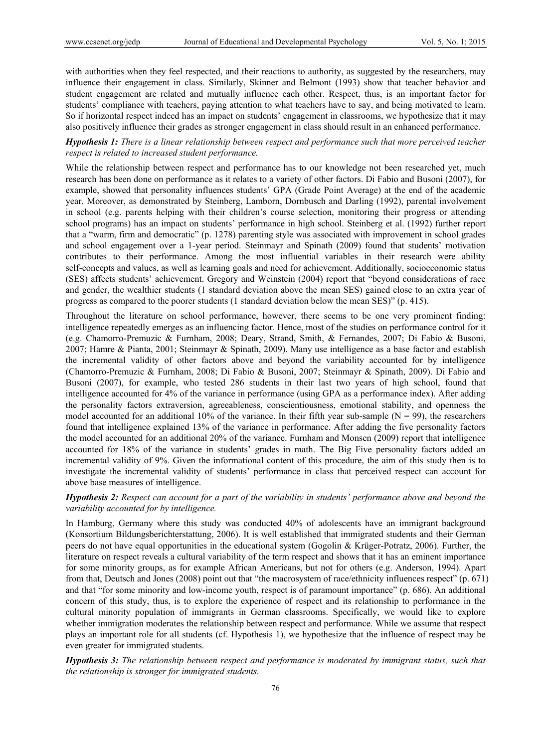with authorities when they feel respected, and their reactions to authority, as suggested by the researchers, may influence their engagement in class. Similarly, Skinner and Belmont (1993) show that teacher behavior and student engagement are related and mutually influence each other. Respect, thus, is an important factor for students' compliance with teachers, paying attention to what teachers have to say, and being motivated to learn. So if horizontal respect indeed has an impact on students' engagement in classrooms, we hypothesize that it may also positively influence their grades as stronger engagement in class should result in an enhanced performance.

## *Hypothesis 1: There is a linear relationship between respect and performance such that more perceived teacher respect is related to increased student performance.*

While the relationship between respect and performance has to our knowledge not been researched yet, much research has been done on performance as it relates to a variety of other factors. Di Fabio and Busoni (2007), for example, showed that personality influences students' GPA (Grade Point Average) at the end of the academic year. Moreover, as demonstrated by Steinberg, Lamborn, Dornbusch and Darling (1992), parental involvement in school (e.g. parents helping with their children's course selection, monitoring their progress or attending school programs) has an impact on students' performance in high school. Steinberg et al. (1992) further report that a "warm, firm and democratic" (p. 1278) parenting style was associated with improvement in school grades and school engagement over a 1-year period. Steinmayr and Spinath (2009) found that students' motivation contributes to their performance. Among the most influential variables in their research were ability self-concepts and values, as well as learning goals and need for achievement. Additionally, socioeconomic status (SES) affects students' achievement. Gregory and Weinstein (2004) report that "beyond considerations of race and gender, the wealthier students (1 standard deviation above the mean SES) gained close to an extra year of progress as compared to the poorer students (1 standard deviation below the mean SES)" (p. 415).

Throughout the literature on school performance, however, there seems to be one very prominent finding: intelligence repeatedly emerges as an influencing factor. Hence, most of the studies on performance control for it (e.g. Chamorro-Premuzic & Furnham, 2008; Deary, Strand, Smith, & Fernandes, 2007; Di Fabio & Busoni, 2007; Hamre & Pianta, 2001; Steinmayr & Spinath, 2009). Many use intelligence as a base factor and establish the incremental validity of other factors above and beyond the variability accounted for by intelligence (Chamorro-Premuzic & Furnham, 2008; Di Fabio & Busoni, 2007; Steinmayr & Spinath, 2009). Di Fabio and Busoni (2007), for example, who tested 286 students in their last two years of high school, found that intelligence accounted for 4% of the variance in performance (using GPA as a performance index). After adding the personality factors extraversion, agreeableness, conscientiousness, emotional stability, and openness the model accounted for an additional 10% of the variance. In their fifth year sub-sample  $(N = 99)$ , the researchers found that intelligence explained 13% of the variance in performance. After adding the five personality factors the model accounted for an additional 20% of the variance. Furnham and Monsen (2009) report that intelligence accounted for 18% of the variance in students' grades in math. The Big Five personality factors added an incremental validity of 9%. Given the informational content of this procedure, the aim of this study then is to investigate the incremental validity of students' performance in class that perceived respect can account for above base measures of intelligence.

*Hypothesis 2: Respect can account for a part of the variability in students' performance above and beyond the variability accounted for by intelligence.* 

In Hamburg, Germany where this study was conducted 40% of adolescents have an immigrant background (Konsortium Bildungsberichterstattung, 2006). It is well established that immigrated students and their German peers do not have equal opportunities in the educational system (Gogolin & Krüger-Potratz, 2006). Further, the literature on respect reveals a cultural variability of the term respect and shows that it has an eminent importance for some minority groups, as for example African Americans, but not for others (e.g. Anderson, 1994). Apart from that, Deutsch and Jones (2008) point out that "the macrosystem of race/ethnicity influences respect" (p. 671) and that "for some minority and low-income youth, respect is of paramount importance" (p. 686). An additional concern of this study, thus, is to explore the experience of respect and its relationship to performance in the cultural minority population of immigrants in German classrooms. Specifically, we would like to explore whether immigration moderates the relationship between respect and performance. While we assume that respect plays an important role for all students (cf. Hypothesis 1), we hypothesize that the influence of respect may be even greater for immigrated students.

*Hypothesis 3: The relationship between respect and performance is moderated by immigrant status, such that the relationship is stronger for immigrated students.*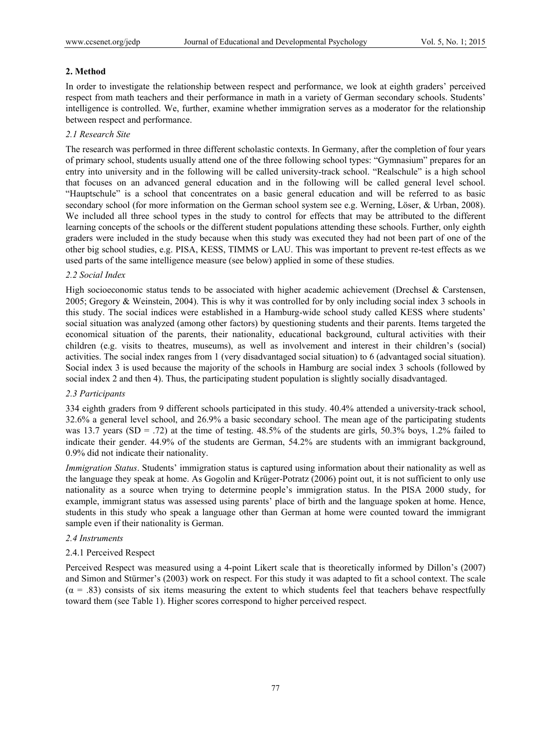## **2. Method**

In order to investigate the relationship between respect and performance, we look at eighth graders' perceived respect from math teachers and their performance in math in a variety of German secondary schools. Students' intelligence is controlled. We, further, examine whether immigration serves as a moderator for the relationship between respect and performance.

## *2.1 Research Site*

The research was performed in three different scholastic contexts. In Germany, after the completion of four years of primary school, students usually attend one of the three following school types: "Gymnasium" prepares for an entry into university and in the following will be called university-track school. "Realschule" is a high school that focuses on an advanced general education and in the following will be called general level school. "Hauptschule" is a school that concentrates on a basic general education and will be referred to as basic secondary school (for more information on the German school system see e.g. Werning, Löser, & Urban, 2008). We included all three school types in the study to control for effects that may be attributed to the different learning concepts of the schools or the different student populations attending these schools. Further, only eighth graders were included in the study because when this study was executed they had not been part of one of the other big school studies, e.g. PISA, KESS, TIMMS or LAU. This was important to prevent re-test effects as we used parts of the same intelligence measure (see below) applied in some of these studies.

## *2.2 Social Index*

High socioeconomic status tends to be associated with higher academic achievement (Drechsel & Carstensen, 2005; Gregory & Weinstein, 2004). This is why it was controlled for by only including social index 3 schools in this study. The social indices were established in a Hamburg-wide school study called KESS where students' social situation was analyzed (among other factors) by questioning students and their parents. Items targeted the economical situation of the parents, their nationality, educational background, cultural activities with their children (e.g. visits to theatres, museums), as well as involvement and interest in their children's (social) activities. The social index ranges from 1 (very disadvantaged social situation) to 6 (advantaged social situation). Social index 3 is used because the majority of the schools in Hamburg are social index 3 schools (followed by social index 2 and then 4). Thus, the participating student population is slightly socially disadvantaged.

## *2.3 Participants*

334 eighth graders from 9 different schools participated in this study. 40.4% attended a university-track school, 32.6% a general level school, and 26.9% a basic secondary school. The mean age of the participating students was 13.7 years (SD = .72) at the time of testing.  $48.5\%$  of the students are girls,  $50.3\%$  boys,  $1.2\%$  failed to indicate their gender. 44.9% of the students are German, 54.2% are students with an immigrant background, 0.9% did not indicate their nationality.

*Immigration Status*. Students' immigration status is captured using information about their nationality as well as the language they speak at home. As Gogolin and Krüger-Potratz (2006) point out, it is not sufficient to only use nationality as a source when trying to determine people's immigration status. In the PISA 2000 study, for example, immigrant status was assessed using parents' place of birth and the language spoken at home. Hence, students in this study who speak a language other than German at home were counted toward the immigrant sample even if their nationality is German.

## *2.4 Instruments*

## 2.4.1 Perceived Respect

Perceived Respect was measured using a 4-point Likert scale that is theoretically informed by Dillon's (2007) and Simon and Stürmer's (2003) work on respect. For this study it was adapted to fit a school context. The scale  $(\alpha = .83)$  consists of six items measuring the extent to which students feel that teachers behave respectfully toward them (see Table 1). Higher scores correspond to higher perceived respect.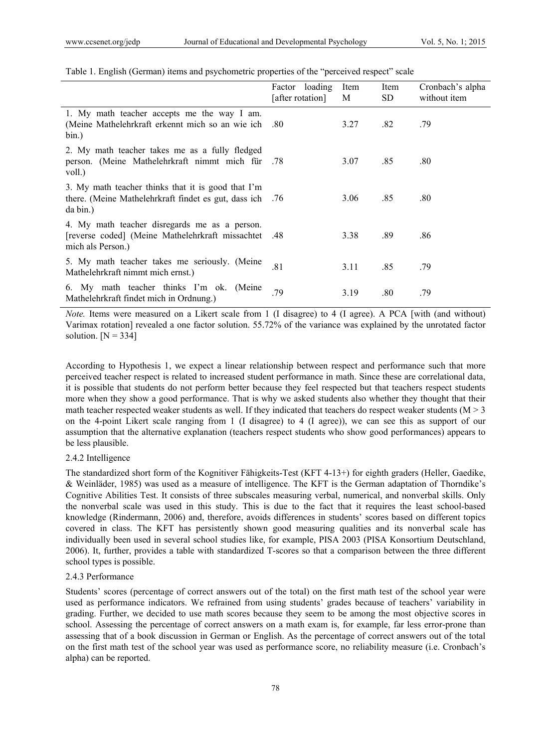|                                                                                                                             | Factor loading<br>[after rotation] | Item<br>M | Item<br>SD. | Cronbach's alpha<br>without item |
|-----------------------------------------------------------------------------------------------------------------------------|------------------------------------|-----------|-------------|----------------------------------|
| 1. My math teacher accepts me the way I am.<br>(Meine Mathelehrkraft erkennt mich so an wie ich<br>bin.)                    | .80                                | 3.27      | .82         | .79                              |
| 2. My math teacher takes me as a fully fledged<br>person. (Meine Mathelehrkraft nimmt mich für<br>voll.)                    | .78                                | 3.07      | .85         | .80                              |
| 3. My math teacher thinks that it is good that I'm<br>there. (Meine Mathelehrkraft findet es gut, dass ich<br>da bin.)      | .76                                | 3.06      | .85         | .80                              |
| 4. My math teacher disregards me as a person.<br>[reverse coded] (Meine Mathelehrkraft missachtet .48)<br>mich als Person.) |                                    | 3.38      | .89         | .86                              |
| 5. My math teacher takes me seriously. (Meine<br>Mathelehrkraft nimmt mich ernst.)                                          | .81                                | 3.11      | .85         | .79                              |
| 6. My math teacher thinks I'm ok. (Meine<br>Mathelehrkraft findet mich in Ordnung.)                                         | .79                                | 3.19      | .80         | .79                              |

Table 1. English (German) items and psychometric properties of the "perceived respect" scale

*Note.* Items were measured on a Likert scale from 1 (I disagree) to 4 (I agree). A PCA [with (and without) Varimax rotation] revealed a one factor solution. 55.72% of the variance was explained by the unrotated factor solution.  $[N = 334]$ 

According to Hypothesis 1, we expect a linear relationship between respect and performance such that more perceived teacher respect is related to increased student performance in math. Since these are correlational data, it is possible that students do not perform better because they feel respected but that teachers respect students more when they show a good performance. That is why we asked students also whether they thought that their math teacher respected weaker students as well. If they indicated that teachers do respect weaker students ( $M > 3$ on the 4-point Likert scale ranging from 1 (I disagree) to 4 (I agree)), we can see this as support of our assumption that the alternative explanation (teachers respect students who show good performances) appears to be less plausible.

#### 2.4.2 Intelligence

The standardized short form of the Kognitiver Fähigkeits-Test (KFT 4-13+) for eighth graders (Heller, Gaedike, & Weinläder, 1985) was used as a measure of intelligence. The KFT is the German adaptation of Thorndike's Cognitive Abilities Test. It consists of three subscales measuring verbal, numerical, and nonverbal skills. Only the nonverbal scale was used in this study. This is due to the fact that it requires the least school-based knowledge (Rindermann, 2006) and, therefore, avoids differences in students' scores based on different topics covered in class. The KFT has persistently shown good measuring qualities and its nonverbal scale has individually been used in several school studies like, for example, PISA 2003 (PISA Konsortium Deutschland, 2006). It, further, provides a table with standardized T-scores so that a comparison between the three different school types is possible.

## 2.4.3 Performance

Students' scores (percentage of correct answers out of the total) on the first math test of the school year were used as performance indicators. We refrained from using students' grades because of teachers' variability in grading. Further, we decided to use math scores because they seem to be among the most objective scores in school. Assessing the percentage of correct answers on a math exam is, for example, far less error-prone than assessing that of a book discussion in German or English. As the percentage of correct answers out of the total on the first math test of the school year was used as performance score, no reliability measure (i.e. Cronbach's alpha) can be reported.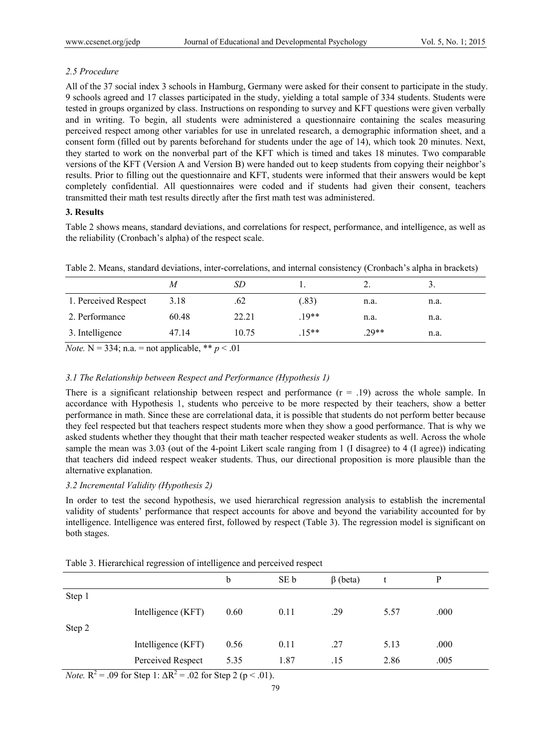# *2.5 Procedure*

All of the 37 social index 3 schools in Hamburg, Germany were asked for their consent to participate in the study. 9 schools agreed and 17 classes participated in the study, yielding a total sample of 334 students. Students were tested in groups organized by class. Instructions on responding to survey and KFT questions were given verbally and in writing. To begin, all students were administered a questionnaire containing the scales measuring perceived respect among other variables for use in unrelated research, a demographic information sheet, and a consent form (filled out by parents beforehand for students under the age of 14), which took 20 minutes. Next, they started to work on the nonverbal part of the KFT which is timed and takes 18 minutes. Two comparable versions of the KFT (Version A and Version B) were handed out to keep students from copying their neighbor's results. Prior to filling out the questionnaire and KFT, students were informed that their answers would be kept completely confidential. All questionnaires were coded and if students had given their consent, teachers transmitted their math test results directly after the first math test was administered.

## **3. Results**

Table 2 shows means, standard deviations, and correlations for respect, performance, and intelligence, as well as the reliability (Cronbach's alpha) of the respect scale.

| Table 2. Means, standard deviations, inter-correlations, and internal consistency (Cronbach's alpha in brackets) |  |  |  |
|------------------------------------------------------------------------------------------------------------------|--|--|--|
|                                                                                                                  |  |  |  |

|                      | M     | SD    |         | ٠.      |      |
|----------------------|-------|-------|---------|---------|------|
| 1. Perceived Respect | 3.18  | .62   | (.83)   | n.a.    | n.a. |
| 2. Performance       | 60.48 | 22.21 | $.19**$ | n.a.    | n.a. |
| 3. Intelligence      | 47.14 | 10.75 | $.15**$ | $.29**$ | n.a. |

*Note.* N = 334; n.a. = not applicable, \*\*  $p < .01$ 

## *3.1 The Relationship between Respect and Performance (Hypothesis 1)*

There is a significant relationship between respect and performance  $(r = .19)$  across the whole sample. In accordance with Hypothesis 1, students who perceive to be more respected by their teachers, show a better performance in math. Since these are correlational data, it is possible that students do not perform better because they feel respected but that teachers respect students more when they show a good performance. That is why we asked students whether they thought that their math teacher respected weaker students as well. Across the whole sample the mean was 3.03 (out of the 4-point Likert scale ranging from 1 (I disagree) to 4 (I agree)) indicating that teachers did indeed respect weaker students. Thus, our directional proposition is more plausible than the alternative explanation.

# *3.2 Incremental Validity (Hypothesis 2)*

In order to test the second hypothesis, we used hierarchical regression analysis to establish the incremental validity of students' performance that respect accounts for above and beyond the variability accounted for by intelligence. Intelligence was entered first, followed by respect (Table 3). The regression model is significant on both stages.

|        |                    | b    | SE b | $\beta$ (beta) |      | P    |
|--------|--------------------|------|------|----------------|------|------|
| Step 1 |                    |      |      |                |      |      |
|        | Intelligence (KFT) | 0.60 | 0.11 | .29            | 5.57 | .000 |
| Step 2 |                    |      |      |                |      |      |
|        | Intelligence (KFT) | 0.56 | 0.11 | .27            | 5.13 | .000 |
|        | Perceived Respect  | 5.35 | 1.87 | .15            | 2.86 | .005 |

|  | Table 3. Hierarchical regression of intelligence and perceived respect |  |  |
|--|------------------------------------------------------------------------|--|--|
|  |                                                                        |  |  |
|  |                                                                        |  |  |

*Note.*  $R^2 = .09$  for Step 1:  $\Delta R^2 = .02$  for Step 2 (p < .01).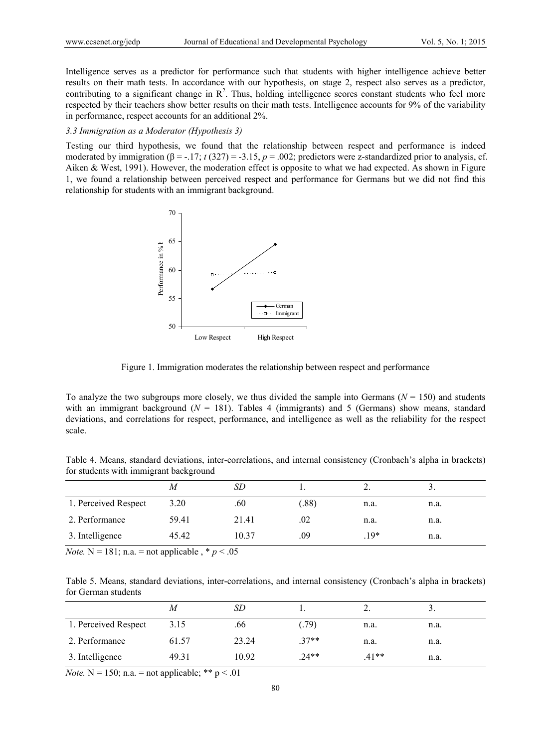Intelligence serves as a predictor for performance such that students with higher intelligence achieve better results on their math tests. In accordance with our hypothesis, on stage 2, respect also serves as a predictor, contributing to a significant change in  $\mathbb{R}^2$ . Thus, holding intelligence scores constant students who feel more respected by their teachers show better results on their math tests. Intelligence accounts for 9% of the variability in performance, respect accounts for an additional 2%.

#### *3.3 Immigration as a Moderator (Hypothesis 3)*

Testing our third hypothesis, we found that the relationship between respect and performance is indeed moderated by immigration  $(\beta = -17; t(327)) = -3.15$ ,  $p = .002$ ; predictors were z-standardized prior to analysis, cf. Aiken & West, 1991). However, the moderation effect is opposite to what we had expected. As shown in Figure 1, we found a relationship between perceived respect and performance for Germans but we did not find this relationship for students with an immigrant background.



Figure 1. Immigration moderates the relationship between respect and performance

To analyze the two subgroups more closely, we thus divided the sample into Germans  $(N = 150)$  and students with an immigrant background  $(N = 181)$ . Tables 4 (immigrants) and 5 (Germans) show means, standard deviations, and correlations for respect, performance, and intelligence as well as the reliability for the respect scale.

Table 4. Means, standard deviations, inter-correlations, and internal consistency (Cronbach's alpha in brackets) for students with immigrant background

|                      | M     | SD    |       |        |      |
|----------------------|-------|-------|-------|--------|------|
| 1. Perceived Respect | 3.20  | .60   | (.88) | n.a.   | n.a. |
| 2. Performance       | 59.41 | 21.41 | .02   | n.a.   | n.a. |
| 3. Intelligence      | 45.42 | 10.37 | .09   | $.19*$ | n.a. |

*Note.*  $N = 181$ ; n.a. = not applicable , \*  $p < .05$ 

Table 5. Means, standard deviations, inter-correlations, and internal consistency (Cronbach's alpha in brackets) for German students

|                      | M     | <i>SD</i> |         |         |      |
|----------------------|-------|-----------|---------|---------|------|
| 1. Perceived Respect | 3.15  | .66       | (0.79)  | n.a.    | n.a. |
| 2. Performance       | 61.57 | 23.24     | $37**$  | n.a.    | n.a. |
| 3. Intelligence      | 49.31 | 10.92     | $.24**$ | $.41**$ | n.a. |

*Note.*  $N = 150$ ; n.a. = not applicable; \*\*  $p < .01$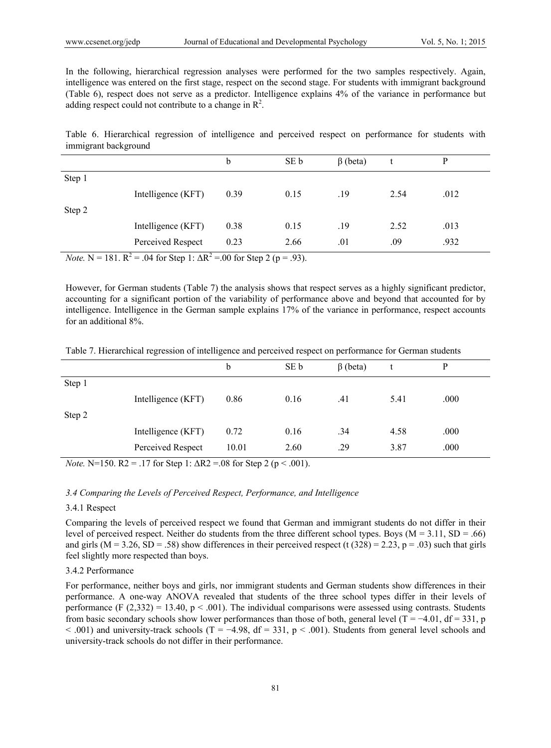In the following, hierarchical regression analyses were performed for the two samples respectively. Again, intelligence was entered on the first stage, respect on the second stage. For students with immigrant background (Table 6), respect does not serve as a predictor. Intelligence explains 4% of the variance in performance but adding respect could not contribute to a change in  $\mathbb{R}^2$ .

Table 6. Hierarchical regression of intelligence and perceived respect on performance for students with immigrant background

|        |                                       | b    | SE b | $\beta$ (beta) |      | D    |
|--------|---------------------------------------|------|------|----------------|------|------|
| Step 1 |                                       |      |      |                |      |      |
|        | Intelligence (KFT)                    | 0.39 | 0.15 | .19            | 2.54 | .012 |
| Step 2 |                                       |      |      |                |      |      |
|        | Intelligence (KFT)                    | 0.38 | 0.15 | .19            | 2.52 | .013 |
|        | Perceived Respect<br>$\sim$<br>$\sim$ | 0.23 | 2.66 | .01            | .09  | .932 |

*Note.*  $N = 181$ .  $R^2 = .04$  for Step 1:  $\Delta R^2 = .00$  for Step 2 (p = .93).

However, for German students (Table 7) the analysis shows that respect serves as a highly significant predictor, accounting for a significant portion of the variability of performance above and beyond that accounted for by intelligence. Intelligence in the German sample explains 17% of the variance in performance, respect accounts for an additional 8%.

| Table 7. Hierarchical regression of intelligence and perceived respect on performance for German students |  |  |  |
|-----------------------------------------------------------------------------------------------------------|--|--|--|
|                                                                                                           |  |  |  |
|                                                                                                           |  |  |  |
|                                                                                                           |  |  |  |

|        |                    | b     | SE b       | $\beta$ (beta) |      | P    |  |
|--------|--------------------|-------|------------|----------------|------|------|--|
| Step 1 |                    |       |            |                |      |      |  |
|        | Intelligence (KFT) | 0.86  | 0.16       | .41            | 5.41 | .000 |  |
| Step 2 |                    |       |            |                |      |      |  |
|        | Intelligence (KFT) | 0.72  | 0.16       | .34            | 4.58 | .000 |  |
|        | Perceived Respect  | 10.01 | 2.60       | .29            | 3.87 | .000 |  |
| --     | .<br>--            | ----  | __<br>---- |                |      |      |  |

*Note.* N=150. R2 = .17 for Step 1:  $\Delta R2 = .08$  for Step 2 (p < .001).

#### *3.4 Comparing the Levels of Perceived Respect, Performance, and Intelligence*

#### 3.4.1 Respect

Comparing the levels of perceived respect we found that German and immigrant students do not differ in their level of perceived respect. Neither do students from the three different school types. Boys ( $M = 3.11$ ,  $SD = .66$ ) and girls ( $M = 3.26$ ,  $SD = .58$ ) show differences in their perceived respect (t (328) = 2.23, p = .03) such that girls feel slightly more respected than boys.

#### 3.4.2 Performance

For performance, neither boys and girls, nor immigrant students and German students show differences in their performance. A one-way ANOVA revealed that students of the three school types differ in their levels of performance (F  $(2,332) = 13.40$ , p < .001). The individual comparisons were assessed using contrasts. Students from basic secondary schools show lower performances than those of both, general level (T = −4.01, df = 331, p < .001) and university-track schools (T = −4.98, df = 331, p < .001). Students from general level schools and university-track schools do not differ in their performance.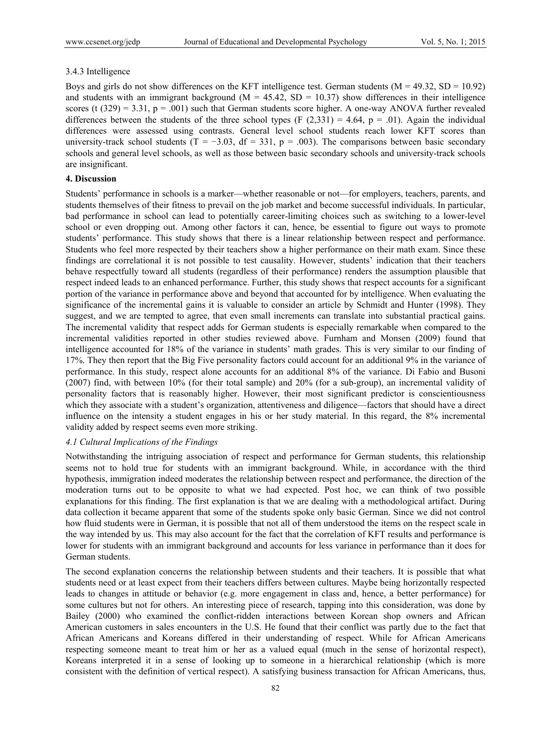#### 3.4.3 Intelligence

Boys and girls do not show differences on the KFT intelligence test. German students ( $M = 49.32$ ,  $SD = 10.92$ ) and students with an immigrant background ( $M = 45.42$ ,  $SD = 10.37$ ) show differences in their intelligence scores (t  $(329) = 3.31$ , p = .001) such that German students score higher. A one-way ANOVA further revealed differences between the students of the three school types (F  $(2,331) = 4.64$ , p = .01). Again the individual differences were assessed using contrasts. General level school students reach lower KFT scores than university-track school students (T =  $-3.03$ , df = 331, p = .003). The comparisons between basic secondary schools and general level schools, as well as those between basic secondary schools and university-track schools are insignificant.

## **4. Discussion**

Students' performance in schools is a marker—whether reasonable or not—for employers, teachers, parents, and students themselves of their fitness to prevail on the job market and become successful individuals. In particular, bad performance in school can lead to potentially career-limiting choices such as switching to a lower-level school or even dropping out. Among other factors it can, hence, be essential to figure out ways to promote students' performance. This study shows that there is a linear relationship between respect and performance. Students who feel more respected by their teachers show a higher performance on their math exam. Since these findings are correlational it is not possible to test causality. However, students' indication that their teachers behave respectfully toward all students (regardless of their performance) renders the assumption plausible that respect indeed leads to an enhanced performance. Further, this study shows that respect accounts for a significant portion of the variance in performance above and beyond that accounted for by intelligence. When evaluating the significance of the incremental gains it is valuable to consider an article by Schmidt and Hunter (1998). They suggest, and we are tempted to agree, that even small increments can translate into substantial practical gains. The incremental validity that respect adds for German students is especially remarkable when compared to the incremental validities reported in other studies reviewed above. Furnham and Monsen (2009) found that intelligence accounted for 18% of the variance in students' math grades. This is very similar to our finding of 17%. They then report that the Big Five personality factors could account for an additional 9% in the variance of performance. In this study, respect alone accounts for an additional 8% of the variance. Di Fabio and Busoni (2007) find, with between 10% (for their total sample) and 20% (for a sub-group), an incremental validity of personality factors that is reasonably higher. However, their most significant predictor is conscientiousness which they associate with a student's organization, attentiveness and diligence—factors that should have a direct influence on the intensity a student engages in his or her study material. In this regard, the 8% incremental validity added by respect seems even more striking.

#### *4.1 Cultural Implications of the Findings*

Notwithstanding the intriguing association of respect and performance for German students, this relationship seems not to hold true for students with an immigrant background. While, in accordance with the third hypothesis, immigration indeed moderates the relationship between respect and performance, the direction of the moderation turns out to be opposite to what we had expected. Post hoc, we can think of two possible explanations for this finding. The first explanation is that we are dealing with a methodological artifact. During data collection it became apparent that some of the students spoke only basic German. Since we did not control how fluid students were in German, it is possible that not all of them understood the items on the respect scale in the way intended by us. This may also account for the fact that the correlation of KFT results and performance is lower for students with an immigrant background and accounts for less variance in performance than it does for German students.

The second explanation concerns the relationship between students and their teachers. It is possible that what students need or at least expect from their teachers differs between cultures. Maybe being horizontally respected leads to changes in attitude or behavior (e.g. more engagement in class and, hence, a better performance) for some cultures but not for others. An interesting piece of research, tapping into this consideration, was done by Bailey (2000) who examined the conflict-ridden interactions between Korean shop owners and African American customers in sales encounters in the U.S. He found that their conflict was partly due to the fact that African Americans and Koreans differed in their understanding of respect. While for African Americans respecting someone meant to treat him or her as a valued equal (much in the sense of horizontal respect), Koreans interpreted it in a sense of looking up to someone in a hierarchical relationship (which is more consistent with the definition of vertical respect). A satisfying business transaction for African Americans, thus,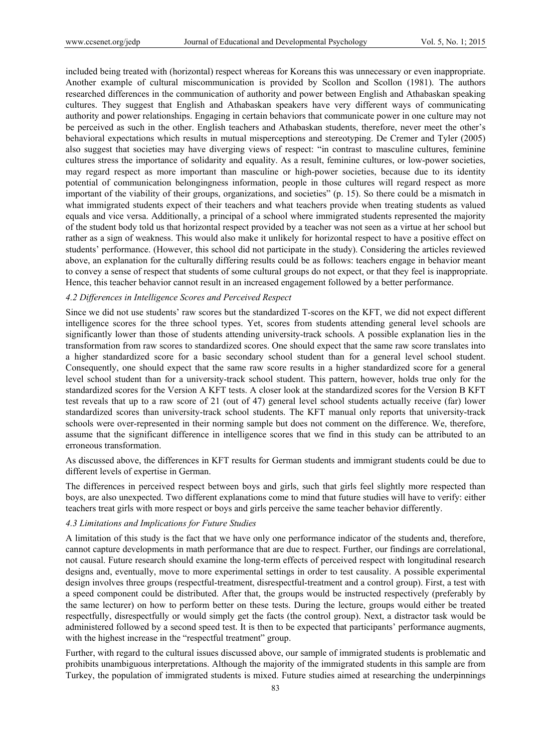included being treated with (horizontal) respect whereas for Koreans this was unnecessary or even inappropriate. Another example of cultural miscommunication is provided by Scollon and Scollon (1981). The authors researched differences in the communication of authority and power between English and Athabaskan speaking cultures. They suggest that English and Athabaskan speakers have very different ways of communicating authority and power relationships. Engaging in certain behaviors that communicate power in one culture may not be perceived as such in the other. English teachers and Athabaskan students, therefore, never meet the other's behavioral expectations which results in mutual misperceptions and stereotyping. De Cremer and Tyler (2005) also suggest that societies may have diverging views of respect: "in contrast to masculine cultures, feminine cultures stress the importance of solidarity and equality. As a result, feminine cultures, or low-power societies, may regard respect as more important than masculine or high-power societies, because due to its identity potential of communication belongingness information, people in those cultures will regard respect as more important of the viability of their groups, organizations, and societies" (p. 15). So there could be a mismatch in what immigrated students expect of their teachers and what teachers provide when treating students as valued equals and vice versa. Additionally, a principal of a school where immigrated students represented the majority of the student body told us that horizontal respect provided by a teacher was not seen as a virtue at her school but rather as a sign of weakness. This would also make it unlikely for horizontal respect to have a positive effect on students' performance. (However, this school did not participate in the study). Considering the articles reviewed above, an explanation for the culturally differing results could be as follows: teachers engage in behavior meant to convey a sense of respect that students of some cultural groups do not expect, or that they feel is inappropriate. Hence, this teacher behavior cannot result in an increased engagement followed by a better performance.

#### *4.2 Differences in Intelligence Scores and Perceived Respect*

Since we did not use students' raw scores but the standardized T-scores on the KFT, we did not expect different intelligence scores for the three school types. Yet, scores from students attending general level schools are significantly lower than those of students attending university-track schools. A possible explanation lies in the transformation from raw scores to standardized scores. One should expect that the same raw score translates into a higher standardized score for a basic secondary school student than for a general level school student. Consequently, one should expect that the same raw score results in a higher standardized score for a general level school student than for a university-track school student. This pattern, however, holds true only for the standardized scores for the Version A KFT tests. A closer look at the standardized scores for the Version B KFT test reveals that up to a raw score of 21 (out of 47) general level school students actually receive (far) lower standardized scores than university-track school students. The KFT manual only reports that university-track schools were over-represented in their norming sample but does not comment on the difference. We, therefore, assume that the significant difference in intelligence scores that we find in this study can be attributed to an erroneous transformation.

As discussed above, the differences in KFT results for German students and immigrant students could be due to different levels of expertise in German.

The differences in perceived respect between boys and girls, such that girls feel slightly more respected than boys, are also unexpected. Two different explanations come to mind that future studies will have to verify: either teachers treat girls with more respect or boys and girls perceive the same teacher behavior differently.

## *4.3 Limitations and Implications for Future Studies*

A limitation of this study is the fact that we have only one performance indicator of the students and, therefore, cannot capture developments in math performance that are due to respect. Further, our findings are correlational, not causal. Future research should examine the long-term effects of perceived respect with longitudinal research designs and, eventually, move to more experimental settings in order to test causality. A possible experimental design involves three groups (respectful-treatment, disrespectful-treatment and a control group). First, a test with a speed component could be distributed. After that, the groups would be instructed respectively (preferably by the same lecturer) on how to perform better on these tests. During the lecture, groups would either be treated respectfully, disrespectfully or would simply get the facts (the control group). Next, a distractor task would be administered followed by a second speed test. It is then to be expected that participants' performance augments, with the highest increase in the "respectful treatment" group.

Further, with regard to the cultural issues discussed above, our sample of immigrated students is problematic and prohibits unambiguous interpretations. Although the majority of the immigrated students in this sample are from Turkey, the population of immigrated students is mixed. Future studies aimed at researching the underpinnings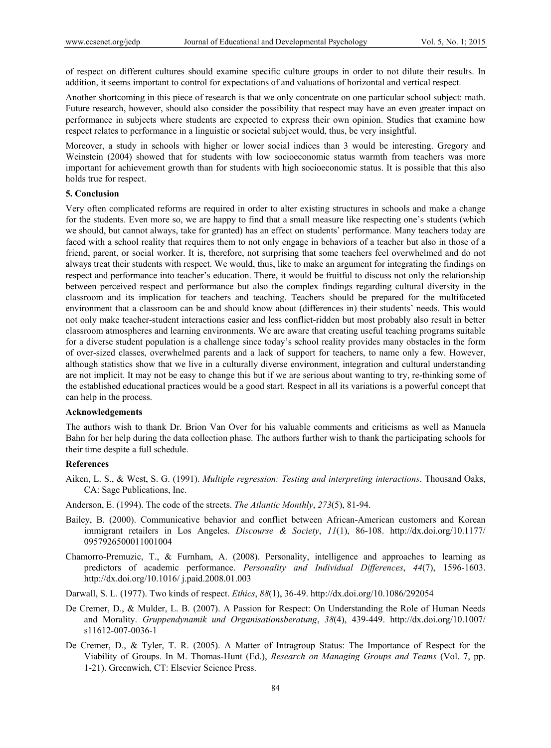of respect on different cultures should examine specific culture groups in order to not dilute their results. In addition, it seems important to control for expectations of and valuations of horizontal and vertical respect.

Another shortcoming in this piece of research is that we only concentrate on one particular school subject: math. Future research, however, should also consider the possibility that respect may have an even greater impact on performance in subjects where students are expected to express their own opinion. Studies that examine how respect relates to performance in a linguistic or societal subject would, thus, be very insightful.

Moreover, a study in schools with higher or lower social indices than 3 would be interesting. Gregory and Weinstein (2004) showed that for students with low socioeconomic status warmth from teachers was more important for achievement growth than for students with high socioeconomic status. It is possible that this also holds true for respect.

#### **5. Conclusion**

Very often complicated reforms are required in order to alter existing structures in schools and make a change for the students. Even more so, we are happy to find that a small measure like respecting one's students (which we should, but cannot always, take for granted) has an effect on students' performance. Many teachers today are faced with a school reality that requires them to not only engage in behaviors of a teacher but also in those of a friend, parent, or social worker. It is, therefore, not surprising that some teachers feel overwhelmed and do not always treat their students with respect. We would, thus, like to make an argument for integrating the findings on respect and performance into teacher's education. There, it would be fruitful to discuss not only the relationship between perceived respect and performance but also the complex findings regarding cultural diversity in the classroom and its implication for teachers and teaching. Teachers should be prepared for the multifaceted environment that a classroom can be and should know about (differences in) their students' needs. This would not only make teacher-student interactions easier and less conflict-ridden but most probably also result in better classroom atmospheres and learning environments. We are aware that creating useful teaching programs suitable for a diverse student population is a challenge since today's school reality provides many obstacles in the form of over-sized classes, overwhelmed parents and a lack of support for teachers, to name only a few. However, although statistics show that we live in a culturally diverse environment, integration and cultural understanding are not implicit. It may not be easy to change this but if we are serious about wanting to try, re-thinking some of the established educational practices would be a good start. Respect in all its variations is a powerful concept that can help in the process.

#### **Acknowledgements**

The authors wish to thank Dr. Brion Van Over for his valuable comments and criticisms as well as Manuela Bahn for her help during the data collection phase. The authors further wish to thank the participating schools for their time despite a full schedule.

## **References**

- Aiken, L. S., & West, S. G. (1991). *Multiple regression: Testing and interpreting interactions*. Thousand Oaks, CA: Sage Publications, Inc.
- Anderson, E. (1994). The code of the streets. *The Atlantic Monthly*, *273*(5), 81-94.
- Bailey, B. (2000). Communicative behavior and conflict between African-American customers and Korean immigrant retailers in Los Angeles. *Discourse & Society*, *11*(1), 86-108. http://dx.doi.org/10.1177/ 0957926500011001004
- Chamorro-Premuzic, T., & Furnham, A. (2008). Personality, intelligence and approaches to learning as predictors of academic performance. *Personality and Individual Differences*, *44*(7), 1596-1603. http://dx.doi.org/10.1016/ j.paid.2008.01.003
- Darwall, S. L. (1977). Two kinds of respect. *Ethics*, *88*(1), 36-49. http://dx.doi.org/10.1086/292054
- De Cremer, D., & Mulder, L. B. (2007). A Passion for Respect: On Understanding the Role of Human Needs and Morality. *Gruppendynamik und Organisationsberatung*, *38*(4), 439-449. http://dx.doi.org/10.1007/ s11612-007-0036-1
- De Cremer, D., & Tyler, T. R. (2005). A Matter of Intragroup Status: The Importance of Respect for the Viability of Groups. In M. Thomas-Hunt (Ed.), *Research on Managing Groups and Teams* (Vol. 7, pp. 1-21). Greenwich, CT: Elsevier Science Press.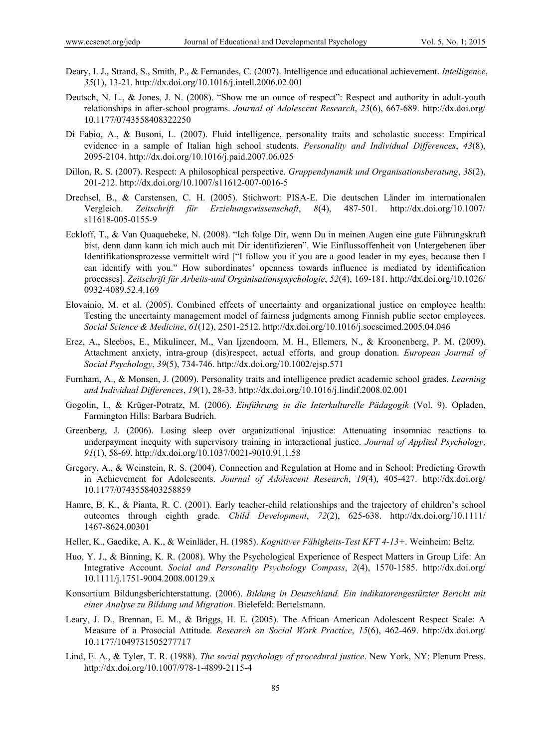- Deary, I. J., Strand, S., Smith, P., & Fernandes, C. (2007). Intelligence and educational achievement. *Intelligence*, *35*(1), 13-21. http://dx.doi.org/10.1016/j.intell.2006.02.001
- Deutsch, N. L., & Jones, J. N. (2008). "Show me an ounce of respect": Respect and authority in adult-youth relationships in after-school programs. *Journal of Adolescent Research*, *23*(6), 667-689. http://dx.doi.org/ 10.1177/0743558408322250
- Di Fabio, A., & Busoni, L. (2007). Fluid intelligence, personality traits and scholastic success: Empirical evidence in a sample of Italian high school students. *Personality and Individual Differences*, *43*(8), 2095-2104. http://dx.doi.org/10.1016/j.paid.2007.06.025
- Dillon, R. S. (2007). Respect: A philosophical perspective. *Gruppendynamik und Organisationsberatung*, *38*(2), 201-212. http://dx.doi.org/10.1007/s11612-007-0016-5
- Drechsel, B., & Carstensen, C. H. (2005). Stichwort: PISA-E. Die deutschen Länder im internationalen Vergleich. *Zeitschrift für Erziehungswissenschaft*, *8*(4), 487-501. http://dx.doi.org/10.1007/ s11618-005-0155-9
- Eckloff, T., & Van Quaquebeke, N. (2008). "Ich folge Dir, wenn Du in meinen Augen eine gute Führungskraft bist, denn dann kann ich mich auch mit Dir identifizieren". Wie Einflussoffenheit von Untergebenen über Identifikationsprozesse vermittelt wird ["I follow you if you are a good leader in my eyes, because then I can identify with you." How subordinates' openness towards influence is mediated by identification processes]. *Zeitschrift für Arbeits-und Organisationspsychologie*, *52*(4), 169-181. http://dx.doi.org/10.1026/ 0932-4089.52.4.169
- Elovainio, M. et al. (2005). Combined effects of uncertainty and organizational justice on employee health: Testing the uncertainty management model of fairness judgments among Finnish public sector employees. *Social Science & Medicine*, *61*(12), 2501-2512. http://dx.doi.org/10.1016/j.socscimed.2005.04.046
- Erez, A., Sleebos, E., Mikulincer, M., Van Ijzendoorn, M. H., Ellemers, N., & Kroonenberg, P. M. (2009). Attachment anxiety, intra-group (dis)respect, actual efforts, and group donation. *European Journal of Social Psychology*, *39*(5), 734-746. http://dx.doi.org/10.1002/ejsp.571
- Furnham, A., & Monsen, J. (2009). Personality traits and intelligence predict academic school grades. *Learning and Individual Differences*, *19*(1), 28-33. http://dx.doi.org/10.1016/j.lindif.2008.02.001
- Gogolin, I., & Krüger-Potratz, M. (2006). *Einführung in die Interkulturelle Pädagogik* (Vol. 9). Opladen, Farmington Hills: Barbara Budrich.
- Greenberg, J. (2006). Losing sleep over organizational injustice: Attenuating insomniac reactions to underpayment inequity with supervisory training in interactional justice. *Journal of Applied Psychology*, *91*(1), 58-69. http://dx.doi.org/10.1037/0021-9010.91.1.58
- Gregory, A., & Weinstein, R. S. (2004). Connection and Regulation at Home and in School: Predicting Growth in Achievement for Adolescents. *Journal of Adolescent Research*, *19*(4), 405-427. http://dx.doi.org/ 10.1177/0743558403258859
- Hamre, B. K., & Pianta, R. C. (2001). Early teacher-child relationships and the trajectory of children's school outcomes through eighth grade. *Child Development*, *72*(2), 625-638. http://dx.doi.org/10.1111/ 1467-8624.00301
- Heller, K., Gaedike, A. K., & Weinläder, H. (1985). *Kognitiver Fähigkeits-Test KFT 4-13+*. Weinheim: Beltz.
- Huo, Y. J., & Binning, K. R. (2008). Why the Psychological Experience of Respect Matters in Group Life: An Integrative Account. *Social and Personality Psychology Compass*, *2*(4), 1570-1585. http://dx.doi.org/ 10.1111/j.1751-9004.2008.00129.x
- Konsortium Bildungsberichterstattung. (2006). *Bildung in Deutschland. Ein indikatorengestützter Bericht mit einer Analyse zu Bildung und Migration*. Bielefeld: Bertelsmann.
- Leary, J. D., Brennan, E. M., & Briggs, H. E. (2005). The African American Adolescent Respect Scale: A Measure of a Prosocial Attitude. *Research on Social Work Practice*, *15*(6), 462-469. http://dx.doi.org/ 10.1177/1049731505277717
- Lind, E. A., & Tyler, T. R. (1988). *The social psychology of procedural justice*. New York, NY: Plenum Press. http://dx.doi.org/10.1007/978-1-4899-2115-4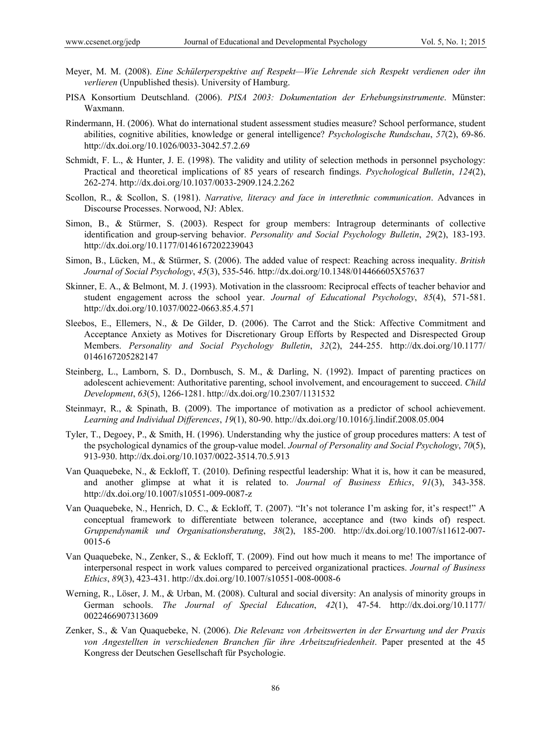- Meyer, M. M. (2008). *Eine Schülerperspektive auf Respekt—Wie Lehrende sich Respekt verdienen oder ihn verlieren* (Unpublished thesis). University of Hamburg.
- PISA Konsortium Deutschland. (2006). *PISA 2003: Dokumentation der Erhebungsinstrumente*. Münster: Waxmann.
- Rindermann, H. (2006). What do international student assessment studies measure? School performance, student abilities, cognitive abilities, knowledge or general intelligence? *Psychologische Rundschau*, *57*(2), 69-86. http://dx.doi.org/10.1026/0033-3042.57.2.69
- Schmidt, F. L., & Hunter, J. E. (1998). The validity and utility of selection methods in personnel psychology: Practical and theoretical implications of 85 years of research findings. *Psychological Bulletin*, *124*(2), 262-274. http://dx.doi.org/10.1037/0033-2909.124.2.262
- Scollon, R., & Scollon, S. (1981). *Narrative, literacy and face in interethnic communication*. Advances in Discourse Processes. Norwood, NJ: Ablex.
- Simon, B., & Stürmer, S. (2003). Respect for group members: Intragroup determinants of collective identification and group-serving behavior. *Personality and Social Psychology Bulletin*, *29*(2), 183-193. http://dx.doi.org/10.1177/0146167202239043
- Simon, B., Lücken, M., & Stürmer, S. (2006). The added value of respect: Reaching across inequality. *British Journal of Social Psychology*, *45*(3), 535-546. http://dx.doi.org/10.1348/014466605X57637
- Skinner, E. A., & Belmont, M. J. (1993). Motivation in the classroom: Reciprocal effects of teacher behavior and student engagement across the school year. *Journal of Educational Psychology*, *85*(4), 571-581. http://dx.doi.org/10.1037/0022-0663.85.4.571
- Sleebos, E., Ellemers, N., & De Gilder, D. (2006). The Carrot and the Stick: Affective Commitment and Acceptance Anxiety as Motives for Discretionary Group Efforts by Respected and Disrespected Group Members. *Personality and Social Psychology Bulletin*, *32*(2), 244-255. http://dx.doi.org/10.1177/ 0146167205282147
- Steinberg, L., Lamborn, S. D., Dornbusch, S. M., & Darling, N. (1992). Impact of parenting practices on adolescent achievement: Authoritative parenting, school involvement, and encouragement to succeed. *Child Development*, *63*(5), 1266-1281. http://dx.doi.org/10.2307/1131532
- Steinmayr, R., & Spinath, B. (2009). The importance of motivation as a predictor of school achievement. *Learning and Individual Differences*, *19*(1), 80-90. http://dx.doi.org/10.1016/j.lindif.2008.05.004
- Tyler, T., Degoey, P., & Smith, H. (1996). Understanding why the justice of group procedures matters: A test of the psychological dynamics of the group-value model. *Journal of Personality and Social Psychology*, *70*(5), 913-930. http://dx.doi.org/10.1037/0022-3514.70.5.913
- Van Quaquebeke, N., & Eckloff, T. (2010). Defining respectful leadership: What it is, how it can be measured, and another glimpse at what it is related to. *Journal of Business Ethics*, *91*(3), 343-358. http://dx.doi.org/10.1007/s10551-009-0087-z
- Van Quaquebeke, N., Henrich, D. C., & Eckloff, T. (2007). "It's not tolerance I'm asking for, it's respect!" A conceptual framework to differentiate between tolerance, acceptance and (two kinds of) respect. *Gruppendynamik und Organisationsberatung*, *38*(2), 185-200. http://dx.doi.org/10.1007/s11612-007- 0015-6
- Van Quaquebeke, N., Zenker, S., & Eckloff, T. (2009). Find out how much it means to me! The importance of interpersonal respect in work values compared to perceived organizational practices. *Journal of Business Ethics*, *89*(3), 423-431. http://dx.doi.org/10.1007/s10551-008-0008-6
- Werning, R., Löser, J. M., & Urban, M. (2008). Cultural and social diversity: An analysis of minority groups in German schools. *The Journal of Special Education*, *42*(1), 47-54. http://dx.doi.org/10.1177/ 0022466907313609
- Zenker, S., & Van Quaquebeke, N. (2006). *Die Relevanz von Arbeitswerten in der Erwartung und der Praxis von Angestellten in verschiedenen Branchen für ihre Arbeitszufriedenheit*. Paper presented at the 45 Kongress der Deutschen Gesellschaft für Psychologie.